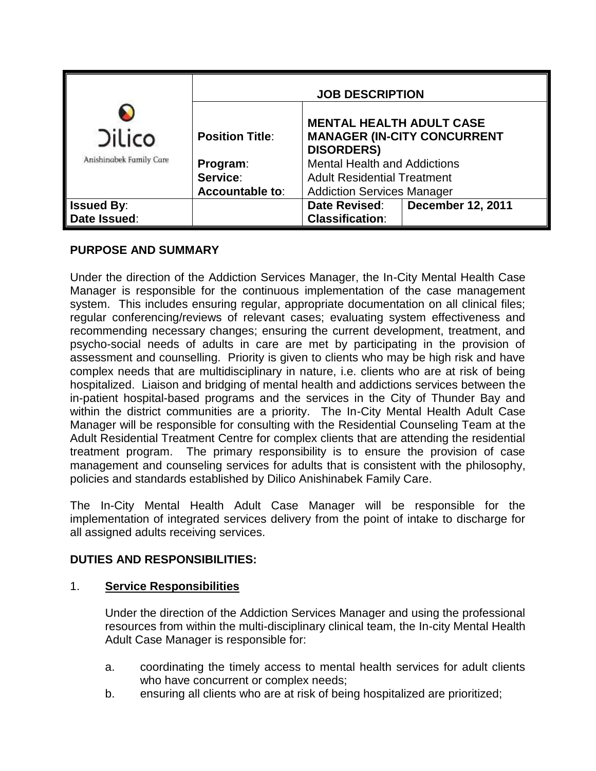| <b>Dilico</b><br>Anishinabek Family Care | <b>JOB DESCRIPTION</b> |                                                                                            |                          |
|------------------------------------------|------------------------|--------------------------------------------------------------------------------------------|--------------------------|
|                                          | <b>Position Title:</b> | <b>MENTAL HEALTH ADULT CASE</b><br><b>MANAGER (IN-CITY CONCURRENT</b><br><b>DISORDERS)</b> |                          |
|                                          | Program:               | <b>Mental Health and Addictions</b>                                                        |                          |
|                                          | Service:               | <b>Adult Residential Treatment</b>                                                         |                          |
|                                          | <b>Accountable to:</b> | <b>Addiction Services Manager</b>                                                          |                          |
| <b>Issued By:</b>                        |                        | Date Revised:                                                                              | <b>December 12, 2011</b> |
| Date Issued:                             |                        | <b>Classification:</b>                                                                     |                          |

## **PURPOSE AND SUMMARY**

Under the direction of the Addiction Services Manager, the In-City Mental Health Case Manager is responsible for the continuous implementation of the case management system. This includes ensuring regular, appropriate documentation on all clinical files; regular conferencing/reviews of relevant cases; evaluating system effectiveness and recommending necessary changes; ensuring the current development, treatment, and psycho-social needs of adults in care are met by participating in the provision of assessment and counselling. Priority is given to clients who may be high risk and have complex needs that are multidisciplinary in nature, i.e. clients who are at risk of being hospitalized. Liaison and bridging of mental health and addictions services between the in-patient hospital-based programs and the services in the City of Thunder Bay and within the district communities are a priority. The In-City Mental Health Adult Case Manager will be responsible for consulting with the Residential Counseling Team at the Adult Residential Treatment Centre for complex clients that are attending the residential treatment program. The primary responsibility is to ensure the provision of case management and counseling services for adults that is consistent with the philosophy, policies and standards established by Dilico Anishinabek Family Care.

The In-City Mental Health Adult Case Manager will be responsible for the implementation of integrated services delivery from the point of intake to discharge for all assigned adults receiving services.

### **DUTIES AND RESPONSIBILITIES:**

### 1. **Service Responsibilities**

Under the direction of the Addiction Services Manager and using the professional resources from within the multi-disciplinary clinical team, the In-city Mental Health Adult Case Manager is responsible for:

- a. coordinating the timely access to mental health services for adult clients who have concurrent or complex needs;
- b. ensuring all clients who are at risk of being hospitalized are prioritized;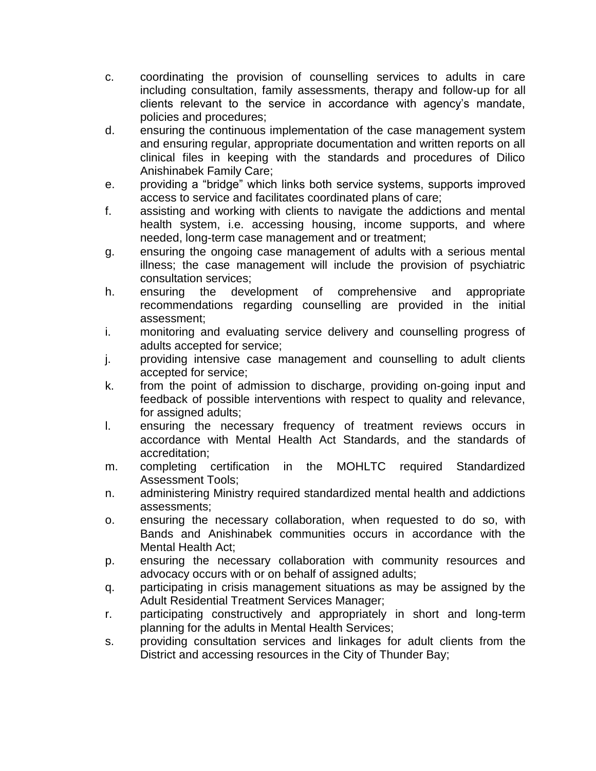- c. coordinating the provision of counselling services to adults in care including consultation, family assessments, therapy and follow-up for all clients relevant to the service in accordance with agency's mandate, policies and procedures;
- d. ensuring the continuous implementation of the case management system and ensuring regular, appropriate documentation and written reports on all clinical files in keeping with the standards and procedures of Dilico Anishinabek Family Care;
- e. providing a "bridge" which links both service systems, supports improved access to service and facilitates coordinated plans of care;
- f. assisting and working with clients to navigate the addictions and mental health system, i.e. accessing housing, income supports, and where needed, long-term case management and or treatment;
- g. ensuring the ongoing case management of adults with a serious mental illness; the case management will include the provision of psychiatric consultation services;
- h. ensuring the development of comprehensive and appropriate recommendations regarding counselling are provided in the initial assessment;
- i. monitoring and evaluating service delivery and counselling progress of adults accepted for service;
- j. providing intensive case management and counselling to adult clients accepted for service;
- k. from the point of admission to discharge, providing on-going input and feedback of possible interventions with respect to quality and relevance, for assigned adults;
- l. ensuring the necessary frequency of treatment reviews occurs in accordance with Mental Health Act Standards, and the standards of accreditation;
- m. completing certification in the MOHLTC required Standardized Assessment Tools;
- n. administering Ministry required standardized mental health and addictions assessments;
- o. ensuring the necessary collaboration, when requested to do so, with Bands and Anishinabek communities occurs in accordance with the Mental Health Act;
- p. ensuring the necessary collaboration with community resources and advocacy occurs with or on behalf of assigned adults;
- q. participating in crisis management situations as may be assigned by the Adult Residential Treatment Services Manager;
- r. participating constructively and appropriately in short and long-term planning for the adults in Mental Health Services;
- s. providing consultation services and linkages for adult clients from the District and accessing resources in the City of Thunder Bay;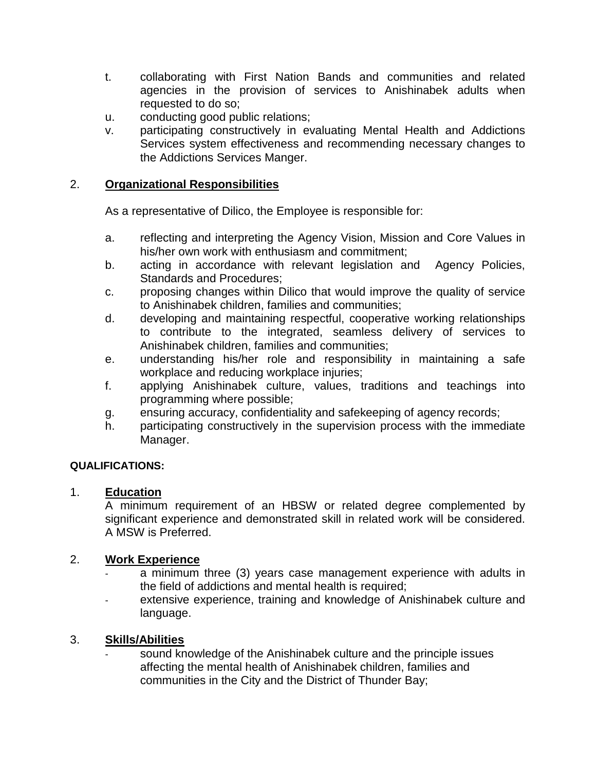- t. collaborating with First Nation Bands and communities and related agencies in the provision of services to Anishinabek adults when requested to do so;
- u. conducting good public relations;
- v. participating constructively in evaluating Mental Health and Addictions Services system effectiveness and recommending necessary changes to the Addictions Services Manger.

# 2. **Organizational Responsibilities**

As a representative of Dilico, the Employee is responsible for:

- a. reflecting and interpreting the Agency Vision, Mission and Core Values in his/her own work with enthusiasm and commitment;
- b. acting in accordance with relevant legislation and Agency Policies, Standards and Procedures;
- c. proposing changes within Dilico that would improve the quality of service to Anishinabek children, families and communities;
- d. developing and maintaining respectful, cooperative working relationships to contribute to the integrated, seamless delivery of services to Anishinabek children, families and communities;
- e. understanding his/her role and responsibility in maintaining a safe workplace and reducing workplace injuries;
- f. applying Anishinabek culture, values, traditions and teachings into programming where possible;
- g. ensuring accuracy, confidentiality and safekeeping of agency records;
- h. participating constructively in the supervision process with the immediate Manager.

# **QUALIFICATIONS:**

### 1. **Education**

A minimum requirement of an HBSW or related degree complemented by significant experience and demonstrated skill in related work will be considered. A MSW is Preferred.

### 2. **Work Experience**

- a minimum three (3) years case management experience with adults in the field of addictions and mental health is required;
- extensive experience, training and knowledge of Anishinabek culture and language.

# 3. **Skills/Abilities**

sound knowledge of the Anishinabek culture and the principle issues affecting the mental health of Anishinabek children, families and communities in the City and the District of Thunder Bay;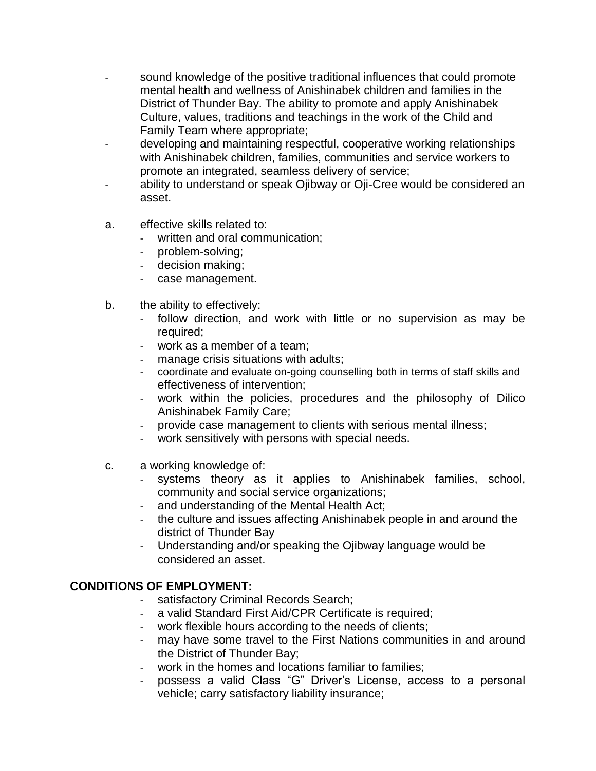- sound knowledge of the positive traditional influences that could promote mental health and wellness of Anishinabek children and families in the District of Thunder Bay. The ability to promote and apply Anishinabek Culture, values, traditions and teachings in the work of the Child and Family Team where appropriate;
- developing and maintaining respectful, cooperative working relationships with Anishinabek children, families, communities and service workers to promote an integrated, seamless delivery of service;
- ability to understand or speak Ojibway or Oji-Cree would be considered an asset.
- a. effective skills related to:
	- written and oral communication;
	- problem-solving;
	- decision making;
	- case management.
- b. the ability to effectively:
	- follow direction, and work with little or no supervision as may be required;
	- work as a member of a team;
	- manage crisis situations with adults;
	- coordinate and evaluate on-going counselling both in terms of staff skills and effectiveness of intervention;
	- work within the policies, procedures and the philosophy of Dilico Anishinabek Family Care;
	- provide case management to clients with serious mental illness;
	- work sensitively with persons with special needs.
- c. a working knowledge of:
	- systems theory as it applies to Anishinabek families, school, community and social service organizations;
	- and understanding of the Mental Health Act;
	- the culture and issues affecting Anishinabek people in and around the district of Thunder Bay
	- Understanding and/or speaking the Ojibway language would be considered an asset.

# **CONDITIONS OF EMPLOYMENT:**

- satisfactory Criminal Records Search;
- a valid Standard First Aid/CPR Certificate is required;
- work flexible hours according to the needs of clients;
- may have some travel to the First Nations communities in and around the District of Thunder Bay;
- work in the homes and locations familiar to families;
- possess a valid Class "G" Driver's License, access to a personal vehicle; carry satisfactory liability insurance;